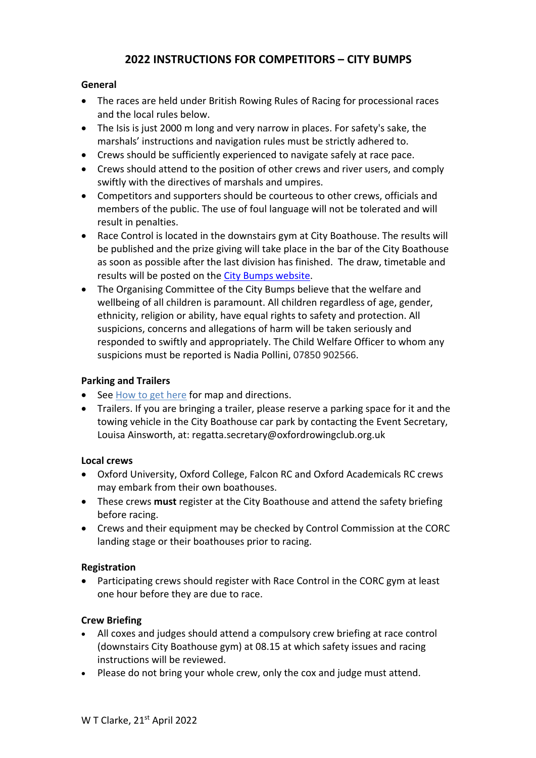# **2022 INSTRUCTIONS FOR COMPETITORS – CITY BUMPS**

#### **General**

- The races are held under British Rowing Rules of Racing for processional races and the local rules below.
- The Isis is just 2000 m long and very narrow in places. For safety's sake, the marshals' instructions and navigation rules must be strictly adhered to.
- Crews should be sufficiently experienced to navigate safely at race pace.
- Crews should attend to the position of other crews and river users, and comply swiftly with the directives of marshals and umpires.
- Competitors and supporters should be courteous to other crews, officials and members of the public. The use of foul language will not be tolerated and will result in penalties.
- Race Control is located in the downstairs gym at City Boathouse. The results will be published and the prize giving will take place in the bar of the City Boathouse as soon as possible after the last division has finished. The draw, timetable and results will be posted on the City Bumps website.
- The Organising Committee of the City Bumps believe that the welfare and wellbeing of all children is paramount. All children regardless of age, gender, ethnicity, religion or ability, have equal rights to safety and protection. All suspicions, concerns and allegations of harm will be taken seriously and responded to swiftly and appropriately. The Child Welfare Officer to whom any suspicions must be reported is Nadia Pollini, 07850 902566.

#### **Parking and Trailers**

- See How to get here for map and directions.
- Trailers. If you are bringing a trailer, please reserve a parking space for it and the towing vehicle in the City Boathouse car park by contacting the Event Secretary, Louisa Ainsworth, at: regatta.secretary@oxfordrowingclub.org.uk

#### **Local crews**

- Oxford University, Oxford College, Falcon RC and Oxford Academicals RC crews may embark from their own boathouses.
- These crews **must** register at the City Boathouse and attend the safety briefing before racing.
- Crews and their equipment may be checked by Control Commission at the CORC landing stage or their boathouses prior to racing.

## **Registration**

• Participating crews should register with Race Control in the CORC gym at least one hour before they are due to race.

## **Crew Briefing**

- All coxes and judges should attend a compulsory crew briefing at race control (downstairs City Boathouse gym) at 08.15 at which safety issues and racing instructions will be reviewed.
- Please do not bring your whole crew, only the cox and judge must attend.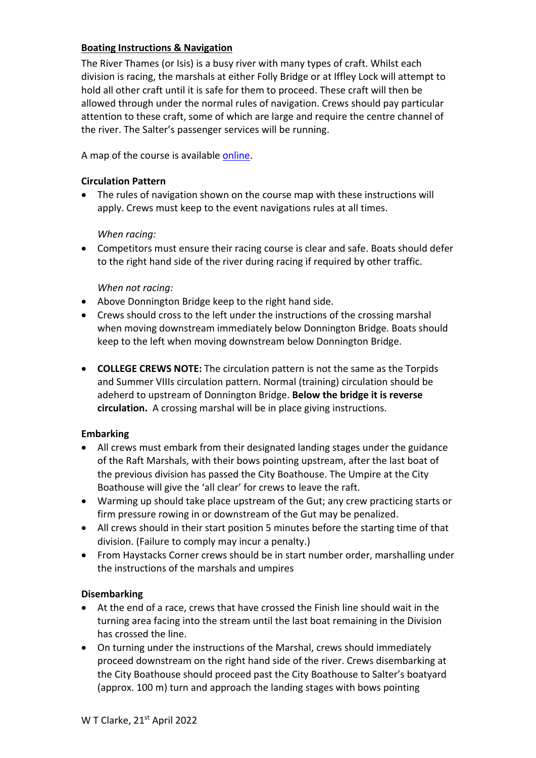## **Boating Instructions & Navigation**

The River Thames (or Isis) is a busy river with many types of craft. Whilst each division is racing, the marshals at either Folly Bridge or at Iffley Lock will attempt to hold all other craft until it is safe for them to proceed. These craft will then be allowed through under the normal rules of navigation. Crews should pay particular attention to these craft, some of which are large and require the centre channel of the river. The Salter's passenger services will be running.

A map of the course is available online.

#### **Circulation Pattern**

• The rules of navigation shown on the course map with these instructions will apply. Crews must keep to the event navigations rules at all times.

#### *When racing:*

• Competitors must ensure their racing course is clear and safe. Boats should defer to the right hand side of the river during racing if required by other traffic.

#### *When not racing:*

- Above Donnington Bridge keep to the right hand side.
- Crews should cross to the left under the instructions of the crossing marshal when moving downstream immediately below Donnington Bridge. Boats should keep to the left when moving downstream below Donnington Bridge.
- **COLLEGE CREWS NOTE:** The circulation pattern is not the same as the Torpids and Summer VIIIs circulation pattern. Normal (training) circulation should be adeherd to upstream of Donnington Bridge. **Below the bridge it is reverse circulation.** A crossing marshal will be in place giving instructions.

#### **Embarking**

- All crews must embark from their designated landing stages under the guidance of the Raft Marshals, with their bows pointing upstream, after the last boat of the previous division has passed the City Boathouse. The Umpire at the City Boathouse will give the 'all clear' for crews to leave the raft.
- Warming up should take place upstream of the Gut; any crew practicing starts or firm pressure rowing in or downstream of the Gut may be penalized.
- All crews should in their start position 5 minutes before the starting time of that division. (Failure to comply may incur a penalty.)
- From Haystacks Corner crews should be in start number order, marshalling under the instructions of the marshals and umpires

#### **Disembarking**

- At the end of a race, crews that have crossed the Finish line should wait in the turning area facing into the stream until the last boat remaining in the Division has crossed the line.
- On turning under the instructions of the Marshal, crews should immediately proceed downstream on the right hand side of the river. Crews disembarking at the City Boathouse should proceed past the City Boathouse to Salter's boatyard (approx. 100 m) turn and approach the landing stages with bows pointing